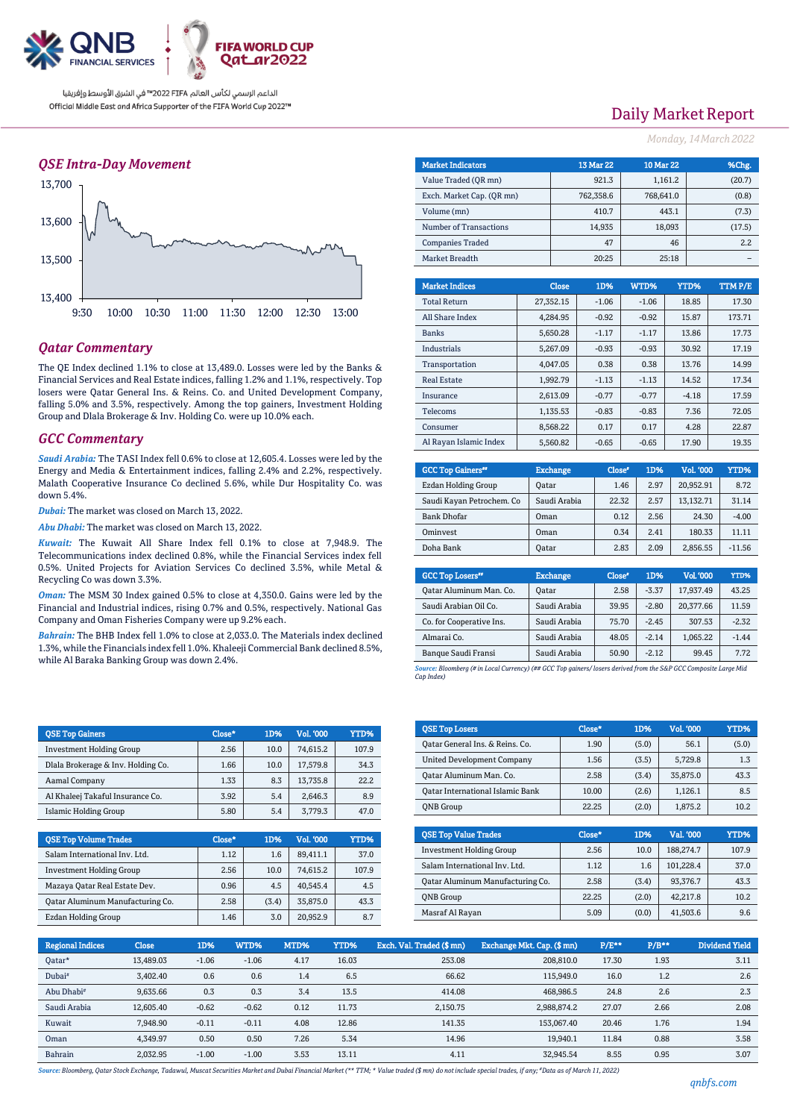

### *QSE Intra-Day Movement*



### *Qatar Commentary*

The QE Index declined 1.1% to close at 13,489.0. Losses were led by the Banks & Financial Services and Real Estate indices, falling 1.2% and 1.1%, respectively. Top losers were Qatar General Ins. & Reins. Co. and United Development Company, falling 5.0% and 3.5%, respectively. Among the top gainers, Investment Holding Group and Dlala Brokerage & Inv. Holding Co. were up 10.0% each.

#### *GCC Commentary*

*Saudi Arabia:* The TASI Index fell 0.6% to close at 12,605.4. Losses were led by the Energy and Media & Entertainment indices, falling 2.4% and 2.2%, respectively. Malath Cooperative Insurance Co declined 5.6%, while Dur Hospitality Co. was down 5.4%.

*Dubai:* The market was closed on March 13, 2022.

*Abu Dhabi:* The market was closed on March 13, 2022.

*Kuwait:* The Kuwait All Share Index fell 0.1% to close at 7,948.9. The Telecommunications index declined 0.8%, while the Financial Services index fell 0.5%. United Projects for Aviation Services Co declined 3.5%, while Metal & Recycling Co was down 3.3%.

*Oman:* The MSM 30 Index gained 0.5% to close at 4,350.0. Gains were led by the Financial and Industrial indices, rising 0.7% and 0.5%, respectively. National Gas Company and Oman Fisheries Company were up 9.2% each.

*Bahrain:* The BHB Index fell 1.0% to close at 2,033.0. The Materials index declined 1.3%, while the Financials index fell 1.0%. Khaleeji Commercial Bank declined 8.5%, while Al Baraka Banking Group was down 2.4%.

| <b>QSE Top Gainers</b>             | Close* | 1D%  | <b>Vol. '000</b> | YTD%  |
|------------------------------------|--------|------|------------------|-------|
| <b>Investment Holding Group</b>    | 2.56   | 10.0 | 74.615.2         | 107.9 |
| Dlala Brokerage & Inv. Holding Co. | 1.66   | 10.0 | 17.579.8         | 34.3  |
| Aamal Company                      | 1.33   | 8.3  | 13,735.8         | 22.2  |
| Al Khaleej Takaful Insurance Co.   | 3.92   | 5.4  | 2,646.3          | 8.9   |
| <b>Islamic Holding Group</b>       | 5.80   | 5.4  | 3,779.3          | 47.0  |

| <b>OSE Top Volume Trades</b>     | Close* | 1D%   | Vol. '000 | YTD%  |
|----------------------------------|--------|-------|-----------|-------|
| Salam International Inv. Ltd.    | 1.12   | 1.6   | 89.411.1  | 37.0  |
| <b>Investment Holding Group</b>  | 2.56   | 10.0  | 74.615.2  | 107.9 |
| Mazaya Qatar Real Estate Dev.    | 0.96   | 4.5   | 40.545.4  | 4.5   |
| Oatar Aluminum Manufacturing Co. | 2.58   | (3.4) | 35,875.0  | 43.3  |
| Ezdan Holding Group              | 1.46   | 3.0   | 20.952.9  | 8.7   |

## Daily Market Report

*Monday, 14March2022*

| <b>Market Indicators</b>  | 13 Mar 22 | 10 Mar 22 | %Chg.  |
|---------------------------|-----------|-----------|--------|
| Value Traded (OR mn)      | 921.3     | 1.161.2   | (20.7) |
| Exch. Market Cap. (OR mn) | 762.358.6 | 768.641.0 | (0.8)  |
| Volume (mn)               | 410.7     | 443.1     | (7.3)  |
| Number of Transactions    | 14.935    | 18,093    | (17.5) |
| <b>Companies Traded</b>   | 47        | 46        | 2.2    |
| Market Breadth            | 20:25     | 25:18     |        |
|                           |           |           |        |

| <b>Market Indices</b>  | Close     | 1D%     | WTD%    | YTD%    | <b>TTMP/E</b> |
|------------------------|-----------|---------|---------|---------|---------------|
| <b>Total Return</b>    | 27,352.15 | $-1.06$ | $-1.06$ | 18.85   | 17.30         |
| All Share Index        | 4.284.95  | $-0.92$ | $-0.92$ | 15.87   | 173.71        |
| <b>Banks</b>           | 5.650.28  | $-1.17$ | $-1.17$ | 13.86   | 17.73         |
| <b>Industrials</b>     | 5.267.09  | $-0.93$ | $-0.93$ | 30.92   | 17.19         |
| Transportation         | 4.047.05  | 0.38    | 0.38    | 13.76   | 14.99         |
| <b>Real Estate</b>     | 1.992.79  | $-1.13$ | $-1.13$ | 14.52   | 17.34         |
| Insurance              | 2.613.09  | $-0.77$ | $-0.77$ | $-4.18$ | 17.59         |
| <b>Telecoms</b>        | 1,135.53  | $-0.83$ | $-0.83$ | 7.36    | 72.05         |
| Consumer               | 8.568.22  | 0.17    | 0.17    | 4.28    | 22.87         |
| Al Rayan Islamic Index | 5.560.82  | $-0.65$ | $-0.65$ | 17.90   | 19.35         |

| <b>GCC Top Gainers</b> "  | <b>Exchange</b> | Close* | 1D%  | Vol. '000 | YTD%     |
|---------------------------|-----------------|--------|------|-----------|----------|
| Ezdan Holding Group       | Oatar           | 1.46   | 2.97 | 20.952.91 | 8.72     |
| Saudi Kayan Petrochem. Co | Saudi Arabia    | 22.32  | 2.57 | 13.132.71 | 31.14    |
| <b>Bank Dhofar</b>        | Oman            | 0.12   | 2.56 | 24.30     | $-4.00$  |
| Ominyest                  | Oman            | 0.34   | 2.41 | 180.33    | 11.11    |
| Doha Bank                 | Oatar           | 2.83   | 2.09 | 2.856.55  | $-11.56$ |

| <b>GCC Top Losers</b> "  | <b>Exchange</b> | Close <sup>®</sup> | 1D%     | <b>Vol.'000</b> | YTD%    |
|--------------------------|-----------------|--------------------|---------|-----------------|---------|
| Oatar Aluminum Man. Co.  | Oatar           | 2.58               | $-3.37$ | 17.937.49       | 43.25   |
| Saudi Arabian Oil Co.    | Saudi Arabia    | 39.95              | $-2.80$ | 20,377.66       | 11.59   |
| Co. for Cooperative Ins. | Saudi Arabia    | 75.70              | $-2.45$ | 307.53          | $-2.32$ |
| Almarai Co.              | Saudi Arabia    | 48.05              | $-2.14$ | 1.065.22        | $-1.44$ |
| Banque Saudi Fransi      | Saudi Arabia    | 50.90              | $-2.12$ | 99.45           | 7.72    |

*Source: Bloomberg (# in Local Currency) (## GCC Top gainers/ losers derived from the S&P GCC Composite Large Mid Cap Index)*

| <b>QSE Top Losers</b>                   | Close* | 1D%   | <b>Vol. '000</b> | YTD%  |
|-----------------------------------------|--------|-------|------------------|-------|
| Oatar General Ins. & Reins. Co.         | 1.90   | (5.0) | 56.1             | (5.0) |
| United Development Company              | 1.56   | (3.5) | 5.729.8          | 1.3   |
| Qatar Aluminum Man. Co.                 | 2.58   | (3.4) | 35.875.0         | 43.3  |
| <b>Qatar International Islamic Bank</b> | 10.00  | (2.6) | 1.126.1          | 8.5   |
| <b>ONB</b> Group                        | 22.25  | (2.0) | 1,875.2          | 10.2  |

| <b>OSE Top Value Trades</b>      | Close* | 1D%   | Val. '000 | YTD%  |
|----------------------------------|--------|-------|-----------|-------|
| <b>Investment Holding Group</b>  | 2.56   | 10.0  | 188,274.7 | 107.9 |
| Salam International Inv. Ltd.    | 1.12   | 1.6   | 101.228.4 | 37.0  |
| Oatar Aluminum Manufacturing Co. | 2.58   | (3.4) | 93,376.7  | 43.3  |
| <b>ONB</b> Group                 | 22.25  | (2.0) | 42.217.8  | 10.2  |
| Masraf Al Rayan                  | 5.09   | (0.0) | 41.503.6  | 9.6   |

| <b>Regional Indices</b> | <b>Close</b> | 1D%     | WTD%    | MTD% | YTD%  | Exch. Val. Traded (\$ mn) | Exchange Mkt. Cap. (\$mn) | $P/E**$ | $P/B**$ | Dividend Yield |
|-------------------------|--------------|---------|---------|------|-------|---------------------------|---------------------------|---------|---------|----------------|
| Oatar*                  | 13.489.03    | $-1.06$ | $-1.06$ | 4.17 | 16.03 | 253.08                    | 208,810.0                 | 17.30   | 1.93    | 3.11           |
| Dubai <sup>#</sup>      | 3.402.40     | 0.6     | 0.6     | 1.4  | 6.5   | 66.62                     | 115.949.0                 | 16.0    | 1.2     | 2.6            |
| Abu Dhabi <sup>#</sup>  | 9,635.66     | 0.3     | 0.3     | 3.4  | 13.5  | 414.08                    | 468,986.5                 | 24.8    | 2.6     | 2.3            |
| Saudi Arabia            | 12.605.40    | $-0.62$ | $-0.62$ | 0.12 | 11.73 | 2,150.75                  | 2,988,874.2               | 27.07   | 2.66    | 2.08           |
| Kuwait                  | 7.948.90     | $-0.11$ | $-0.11$ | 4.08 | 12.86 | 141.35                    | 153.067.40                | 20.46   | 1.76    | 1.94           |
| Oman                    | 4.349.97     | 0.50    | 0.50    | 7.26 | 5.34  | 14.96                     | 19.940.1                  | 11.84   | 0.88    | 3.58           |
| Bahrain                 | 2.032.95     | $-1.00$ | $-1.00$ | 3.53 | 13.11 | 4.11                      | 32.945.54                 | 8.55    | 0.95    | 3.07           |

Source: Bloomberg, Qatar Stock Exchange, Tadawul, Muscat Securities Market and Dubai Financial Market (\*\* TTM; \* Value traded (\$ mn) do not include special trades, if any; "Data as of March 11, 2022)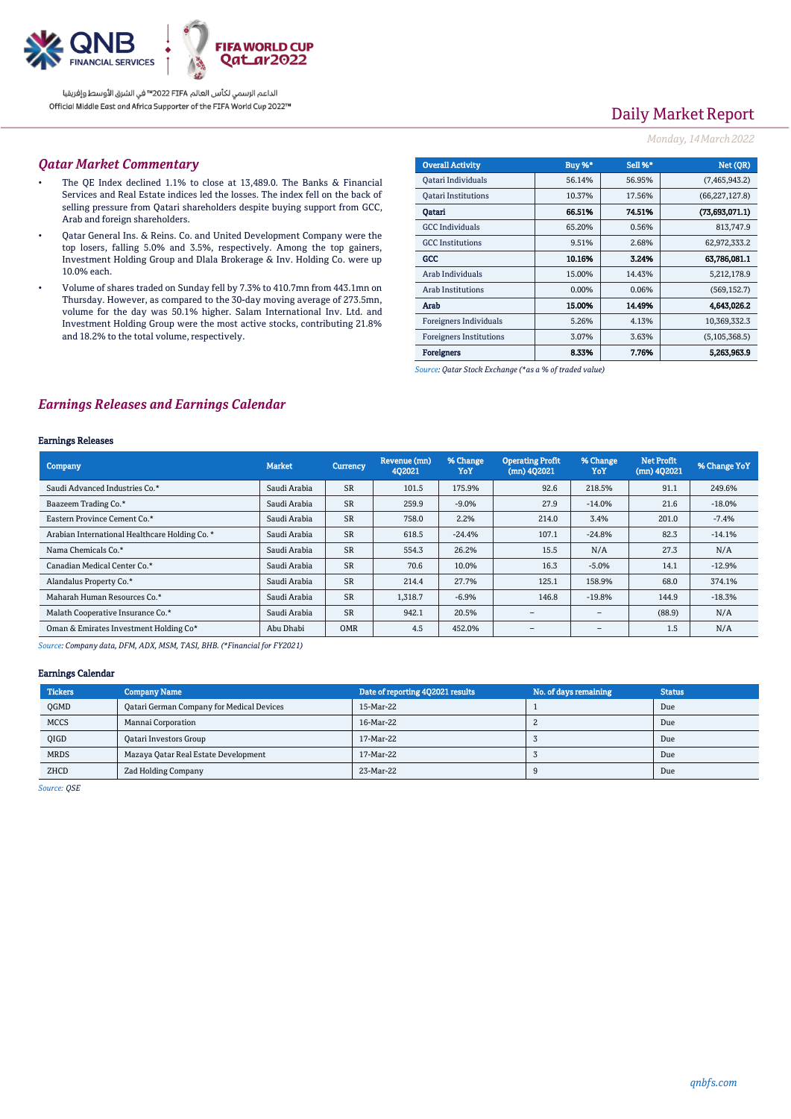

# Daily Market Report

### *Monday, 14March2022*

### *Qatar Market Commentary*

- The QE Index declined 1.1% to close at 13,489.0. The Banks & Financial Services and Real Estate indices led the losses. The index fell on the back of selling pressure from Qatari shareholders despite buying support from GCC, Arab and foreign shareholders.
- Qatar General Ins. & Reins. Co. and United Development Company were the top losers, falling 5.0% and 3.5%, respectively. Among the top gainers, Investment Holding Group and Dlala Brokerage & Inv. Holding Co. were up 10.0% each.
- Volume of shares traded on Sunday fell by 7.3% to 410.7mn from 443.1mn on Thursday. However, as compared to the 30-day moving average of 273.5mn, volume for the day was 50.1% higher. Salam International Inv. Ltd. and Investment Holding Group were the most active stocks, contributing 21.8% and 18.2% to the total volume, respectively.

| <b>Overall Activity</b>        | Buy %*   | Sell %* | Net (QR)         |
|--------------------------------|----------|---------|------------------|
| Qatari Individuals             | 56.14%   | 56.95%  | (7,465,943.2)    |
| <b>Oatari Institutions</b>     | 10.37%   | 17.56%  | (66, 227, 127.8) |
| Oatari                         | 66.51%   | 74.51%  | (73,693,071.1)   |
| <b>GCC</b> Individuals         | 65.20%   | 0.56%   | 813,747.9        |
| <b>GCC</b> Institutions        | 9.51%    | 2.68%   | 62,972,333.2     |
| GCC                            | 10.16%   | 3.24%   | 63.786.081.1     |
| Arab Individuals               | 15.00%   | 14.43%  | 5,212,178.9      |
| <b>Arab Institutions</b>       | $0.00\%$ | 0.06%   | (569, 152.7)     |
| Arab                           | 15.00%   | 14.49%  | 4.643,026.2      |
| Foreigners Individuals         | 5.26%    | 4.13%   | 10,369,332.3     |
| <b>Foreigners Institutions</b> | 3.07%    | 3.63%   | (5, 105, 368.5)  |
| <b>Foreigners</b>              | 8.33%    | 7.76%   | 5.263.963.9      |

*Source: Qatar Stock Exchange (\*as a % of traded value)*

## *Earnings Releases and Earnings Calendar*

#### Earnings Releases

| <b>Company</b>                                 | <b>Market</b> | Currency   | Revenue (mn)<br>402021 | % Change<br>YoY | <b>Operating Profit</b><br>$(mn)$ 402021 | % Change<br>YoY          | Net Profit<br>(mn) 402021 | % Change YoY |
|------------------------------------------------|---------------|------------|------------------------|-----------------|------------------------------------------|--------------------------|---------------------------|--------------|
| Saudi Advanced Industries Co.*                 | Saudi Arabia  | <b>SR</b>  | 101.5                  | 175.9%          | 92.6                                     | 218.5%                   | 91.1                      | 249.6%       |
| Baazeem Trading Co.*                           | Saudi Arabia  | <b>SR</b>  | 259.9                  | $-9.0%$         | 27.9                                     | $-14.0%$                 | 21.6                      | $-18.0%$     |
| Eastern Province Cement Co.*                   | Saudi Arabia  | <b>SR</b>  | 758.0                  | 2.2%            | 214.0                                    | 3.4%                     | 201.0                     | $-7.4%$      |
| Arabian International Healthcare Holding Co. * | Saudi Arabia  | <b>SR</b>  | 618.5                  | $-24.4%$        | 107.1                                    | $-24.8%$                 | 82.3                      | $-14.1%$     |
| Nama Chemicals Co.*                            | Saudi Arabia  | <b>SR</b>  | 554.3                  | 26.2%           | 15.5                                     | N/A                      | 27.3                      | N/A          |
| Canadian Medical Center Co.*                   | Saudi Arabia  | <b>SR</b>  | 70.6                   | 10.0%           | 16.3                                     | $-5.0%$                  | 14.1                      | $-12.9%$     |
| Alandalus Property Co.*                        | Saudi Arabia  | <b>SR</b>  | 214.4                  | 27.7%           | 125.1                                    | 158.9%                   | 68.0                      | 374.1%       |
| Maharah Human Resources Co.*                   | Saudi Arabia  | <b>SR</b>  | 1,318.7                | $-6.9%$         | 146.8                                    | $-19.8%$                 | 144.9                     | $-18.3%$     |
| Malath Cooperative Insurance Co.*              | Saudi Arabia  | <b>SR</b>  | 942.1                  | 20.5%           | $\overline{\phantom{a}}$                 | $\overline{\phantom{a}}$ | (88.9)                    | N/A          |
| Oman & Emirates Investment Holding Co*         | Abu Dhabi     | <b>OMR</b> | 4.5                    | 452.0%          | $\overline{\phantom{a}}$                 | $\overline{\phantom{a}}$ | 1.5                       | N/A          |

*Source: Company data, DFM, ADX, MSM, TASI, BHB. (\*Financial for FY2021)*

#### Earnings Calendar

| <b>Tickers</b> | <b>Company Name</b>                       | Date of reporting 4Q2021 results | No. of days remaining | <b>Status</b> |
|----------------|-------------------------------------------|----------------------------------|-----------------------|---------------|
| <b>OGMD</b>    | Qatari German Company for Medical Devices | 15-Mar-22                        |                       | Due           |
| <b>MCCS</b>    | Mannai Corporation                        | 16-Mar-22                        |                       | Due           |
| QIGD           | <b>Qatari Investors Group</b>             | 17-Mar-22                        |                       | Due           |
| <b>MRDS</b>    | Mazaya Qatar Real Estate Development      | 17-Mar-22                        |                       | Due           |
| ZHCD           | Zad Holding Company                       | 23-Mar-22                        |                       | Due           |

*Source: QSE*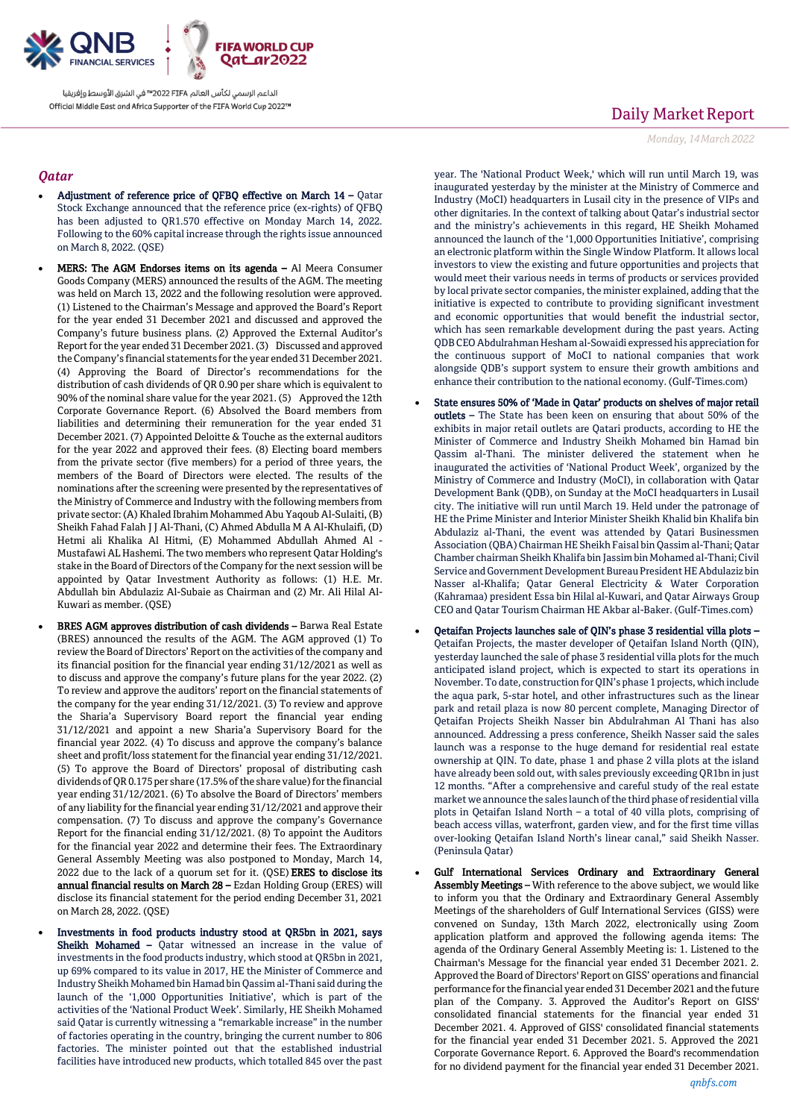

## *Qatar*

- Adjustment of reference price of QFBQ effective on March 14 Qatar Stock Exchange announced that the reference price (ex-rights) of QFBQ has been adjusted to QR1.570 effective on Monday March 14, 2022. Following to the 60% capital increase through the rights issue announced on March 8, 2022. (QSE)
- MERS: The AGM Endorses items on its agenda Al Meera Consumer Goods Company (MERS) announced the results of the AGM. The meeting was held on March 13, 2022 and the following resolution were approved. (1) Listened to the Chairman's Message and approved the Board's Report for the year ended 31 December 2021 and discussed and approved the Company's future business plans. (2) Approved the External Auditor's Report for the year ended 31 December 2021. (3) Discussed and approved the Company's financial statements for the year ended 31 December 2021. (4) Approving the Board of Director's recommendations for the distribution of cash dividends of QR 0.90 per share which is equivalent to 90% of the nominal share value for the year 2021. (5) Approved the 12th Corporate Governance Report. (6) Absolved the Board members from liabilities and determining their remuneration for the year ended 31 December 2021. (7) Appointed Deloitte & Touche as the external auditors for the year 2022 and approved their fees. (8) Electing board members from the private sector (five members) for a period of three years, the members of the Board of Directors were elected. The results of the nominations after the screening were presented by the representatives of the Ministry of Commerce and Industry with the following members from private sector: (A) Khaled Ibrahim Mohammed Abu Yaqoub Al-Sulaiti, (B) Sheikh Fahad Falah J J Al-Thani, (C) Ahmed Abdulla M A Al-Khulaifi, (D) Hetmi ali Khalika Al Hitmi, (E) Mohammed Abdullah Ahmed Al - Mustafawi AL Hashemi. The two members who represent Qatar Holding's stake in the Board of Directors of the Company for the next session will be appointed by Qatar Investment Authority as follows: (1) H.E. Mr. Abdullah bin Abdulaziz Al-Subaie as Chairman and (2) Mr. Ali Hilal Al-Kuwari as member. (QSE)
- BRES AGM approves distribution of cash dividends Barwa Real Estate (BRES) announced the results of the AGM. The AGM approved (1) To review the Board of Directors' Report on the activities of the company and its financial position for the financial year ending 31/12/2021 as well as to discuss and approve the company's future plans for the year 2022. (2) To review and approve the auditors' report on the financial statements of the company for the year ending 31/12/2021. (3) To review and approve the Sharia'a Supervisory Board report the financial year ending 31/12/2021 and appoint a new Sharia'a Supervisory Board for the financial year 2022. (4) To discuss and approve the company's balance sheet and profit/loss statement for the financial year ending 31/12/2021. (5) To approve the Board of Directors' proposal of distributing cash dividends of QR 0.175 per share (17.5% of the share value) for the financial year ending 31/12/2021. (6) To absolve the Board of Directors' members of any liability for the financial year ending 31/12/2021 and approve their compensation. (7) To discuss and approve the company's Governance Report for the financial ending 31/12/2021. (8) To appoint the Auditors for the financial year 2022 and determine their fees. The Extraordinary General Assembly Meeting was also postponed to Monday, March 14, 2022 due to the lack of a quorum set for it. (QSE) ERES to disclose its annual financial results on March 28 – Ezdan Holding Group (ERES) will disclose its financial statement for the period ending December 31, 2021 on March 28, 2022. (QSE)
- Investments in food products industry stood at QR5bn in 2021, says Sheikh Mohamed – Qatar witnessed an increase in the value of investments in the food products industry, which stood at QR5bn in 2021, up 69% compared to its value in 2017, HE the Minister of Commerce and Industry Sheikh Mohamed bin Hamad bin Qassim al-Thani said during the launch of the '1,000 Opportunities Initiative', which is part of the activities of the 'National Product Week'. Similarly, HE Sheikh Mohamed said Qatar is currently witnessing a "remarkable increase" in the number of factories operating in the country, bringing the current number to 806 factories. The minister pointed out that the established industrial facilities have introduced new products, which totalled 845 over the past

## Daily Market Report

*Monday, 14March2022*

year. The 'National Product Week,' which will run until March 19, was inaugurated yesterday by the minister at the Ministry of Commerce and Industry (MoCI) headquarters in Lusail city in the presence of VIPs and other dignitaries. In the context of talking about Qatar's industrial sector and the ministry's achievements in this regard, HE Sheikh Mohamed announced the launch of the '1,000 Opportunities Initiative', comprising an electronic platform within the Single Window Platform. It allows local investors to view the existing and future opportunities and projects that would meet their various needs in terms of products or services provided by local private sector companies, the minister explained, adding that the initiative is expected to contribute to providing significant investment and economic opportunities that would benefit the industrial sector, which has seen remarkable development during the past years. Acting QDB CEO Abdulrahman Hesham al-Sowaidi expressed his appreciation for the continuous support of MoCI to national companies that work alongside QDB's support system to ensure their growth ambitions and enhance their contribution to the national economy. (Gulf-Times.com)

- State ensures 50% of 'Made in Qatar' products on shelves of major retail outlets – The State has been keen on ensuring that about 50% of the exhibits in major retail outlets are Qatari products, according to HE the Minister of Commerce and Industry Sheikh Mohamed bin Hamad bin Qassim al-Thani. The minister delivered the statement when he inaugurated the activities of 'National Product Week', organized by the Ministry of Commerce and Industry (MoCI), in collaboration with Qatar Development Bank (QDB), on Sunday at the MoCI headquarters in Lusail city. The initiative will run until March 19. Held under the patronage of HE the Prime Minister and Interior Minister Sheikh Khalid bin Khalifa bin Abdulaziz al-Thani, the event was attended by Qatari Businessmen Association (QBA) Chairman HE Sheikh Faisal bin Qassim al-Thani; Qatar Chamber chairman Sheikh Khalifa bin Jassim bin Mohamed al-Thani; Civil Service and Government Development Bureau President HE Abdulaziz bin Nasser al-Khalifa; Qatar General Electricity & Water Corporation (Kahramaa) president Essa bin Hilal al-Kuwari, and Qatar Airways Group CEO and Qatar Tourism Chairman HE Akbar al-Baker. (Gulf-Times.com)
- Qetaifan Projects launches sale of QIN's phase 3 residential villa plots Qetaifan Projects, the master developer of Qetaifan Island North (QIN), yesterday launched the sale of phase 3 residential villa plots for the much anticipated island project, which is expected to start its operations in November. To date, construction for QIN's phase 1 projects, which include the aqua park, 5-star hotel, and other infrastructures such as the linear park and retail plaza is now 80 percent complete, Managing Director of Qetaifan Projects Sheikh Nasser bin Abdulrahman Al Thani has also announced. Addressing a press conference, Sheikh Nasser said the sales launch was a response to the huge demand for residential real estate ownership at QIN. To date, phase 1 and phase 2 villa plots at the island have already been sold out, with sales previously exceeding QR1bn in just 12 months. "After a comprehensive and careful study of the real estate market we announce the sales launch of the third phase of residential villa plots in Qetaifan Island North – a total of 40 villa plots, comprising of beach access villas, waterfront, garden view, and for the first time villas over-looking Qetaifan Island North's linear canal," said Sheikh Nasser. (Peninsula Qatar)
- Gulf International Services Ordinary and Extraordinary General Assembly Meetings – With reference to the above subject, we would like to inform you that the Ordinary and Extraordinary General Assembly Meetings of the shareholders of Gulf International Services (GISS) were convened on Sunday, 13th March 2022, electronically using Zoom application platform and approved the following agenda items: The agenda of the Ordinary General Assembly Meeting is: 1. Listened to the Chairman's Message for the financial year ended 31 December 2021. 2. Approved the Board of Directors' Report on GISS' operations and financial performance for the financial year ended 31 December 2021 and the future plan of the Company. 3. Approved the Auditor's Report on GISS' consolidated financial statements for the financial year ended 31 December 2021. 4. Approved of GISS' consolidated financial statements for the financial year ended 31 December 2021. 5. Approved the 2021 Corporate Governance Report. 6. Approved the Board's recommendation for no dividend payment for the financial year ended 31 December 2021.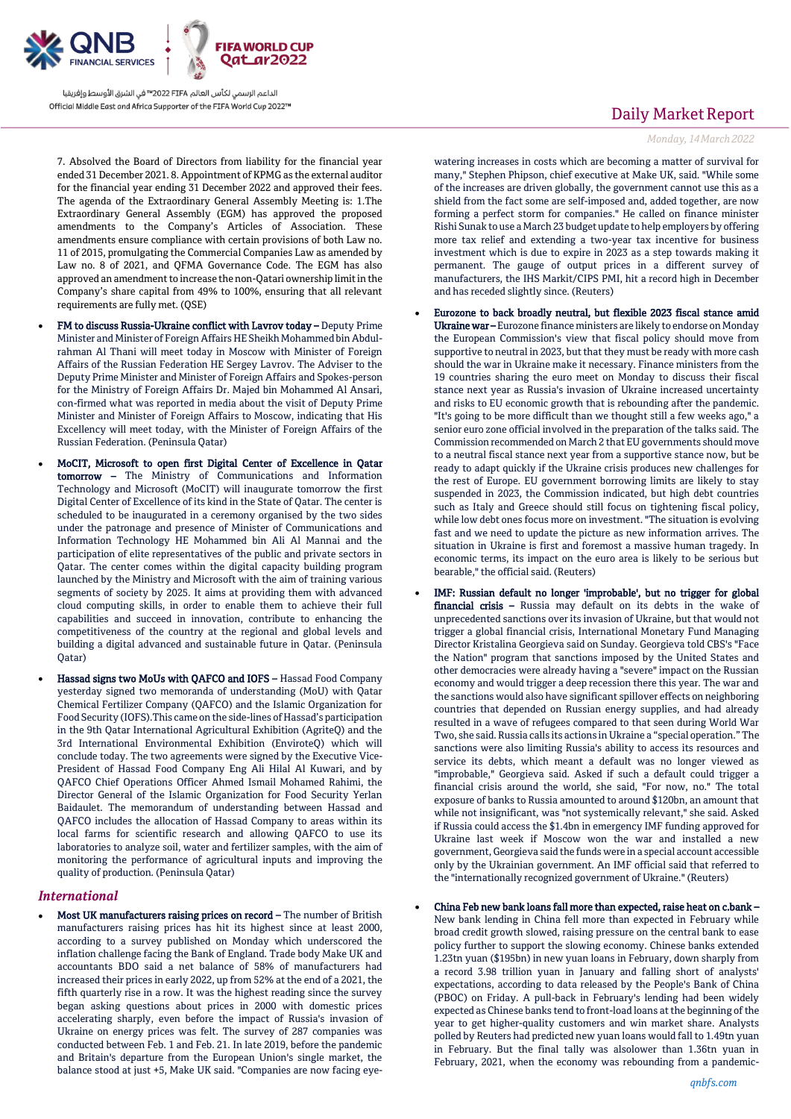

7. Absolved the Board of Directors from liability for the financial year ended 31 December 2021. 8. Appointment of KPMG as the external auditor for the financial year ending 31 December 2022 and approved their fees. The agenda of the Extraordinary General Assembly Meeting is: 1.The Extraordinary General Assembly (EGM) has approved the proposed amendments to the Company's Articles of Association. These amendments ensure compliance with certain provisions of both Law no. 11 of 2015, promulgating the Commercial Companies Law as amended by Law no. 8 of 2021, and QFMA Governance Code. The EGM has also approved an amendment to increase the non-Qatari ownership limit in the Company's share capital from 49% to 100%, ensuring that all relevant requirements are fully met. (QSE)

- FM to discuss Russia-Ukraine conflict with Lavrov today Deputy Prime Minister and Minister of Foreign Affairs HE Sheikh Mohammed bin Abdulrahman Al Thani will meet today in Moscow with Minister of Foreign Affairs of the Russian Federation HE Sergey Lavrov. The Adviser to the Deputy Prime Minister and Minister of Foreign Affairs and Spokes-person for the Ministry of Foreign Affairs Dr. Majed bin Mohammed Al Ansari, con-firmed what was reported in media about the visit of Deputy Prime Minister and Minister of Foreign Affairs to Moscow, indicating that His Excellency will meet today, with the Minister of Foreign Affairs of the Russian Federation. (Peninsula Qatar)
- MoCIT, Microsoft to open first Digital Center of Excellence in Qatar tomorrow – The Ministry of Communications and Information Technology and Microsoft (MoCIT) will inaugurate tomorrow the first Digital Center of Excellence of its kind in the State of Qatar. The center is scheduled to be inaugurated in a ceremony organised by the two sides under the patronage and presence of Minister of Communications and Information Technology HE Mohammed bin Ali Al Mannai and the participation of elite representatives of the public and private sectors in Qatar. The center comes within the digital capacity building program launched by the Ministry and Microsoft with the aim of training various segments of society by 2025. It aims at providing them with advanced cloud computing skills, in order to enable them to achieve their full capabilities and succeed in innovation, contribute to enhancing the competitiveness of the country at the regional and global levels and building a digital advanced and sustainable future in Qatar. (Peninsula Qatar)
- Hassad signs two MoUs with QAFCO and IOFS Hassad Food Company yesterday signed two memoranda of understanding (MoU) with Qatar Chemical Fertilizer Company (QAFCO) and the Islamic Organization for Food Security (IOFS).This came on the side-lines of Hassad's participation in the 9th Qatar International Agricultural Exhibition (AgriteQ) and the 3rd International Environmental Exhibition (EnviroteQ) which will conclude today. The two agreements were signed by the Executive Vice-President of Hassad Food Company Eng Ali Hilal Al Kuwari, and by QAFCO Chief Operations Officer Ahmed Ismail Mohamed Rahimi, the Director General of the Islamic Organization for Food Security Yerlan Baidaulet. The memorandum of understanding between Hassad and QAFCO includes the allocation of Hassad Company to areas within its local farms for scientific research and allowing QAFCO to use its laboratories to analyze soil, water and fertilizer samples, with the aim of monitoring the performance of agricultural inputs and improving the quality of production. (Peninsula Qatar)

#### *International*

Most UK manufacturers raising prices on record - The number of British manufacturers raising prices has hit its highest since at least 2000, according to a survey published on Monday which underscored the inflation challenge facing the Bank of England. Trade body Make UK and accountants BDO said a net balance of 58% of manufacturers had increased their prices in early 2022, up from 52% at the end of a 2021, the fifth quarterly rise in a row. It was the highest reading since the survey began asking questions about prices in 2000 with domestic prices accelerating sharply, even before the impact of Russia's invasion of Ukraine on energy prices was felt. The survey of 287 companies was conducted between Feb. 1 and Feb. 21. In late 2019, before the pandemic and Britain's departure from the European Union's single market, the balance stood at just +5, Make UK said. "Companies are now facing eye-

## Daily Market Report

*Monday, 14March2022*

watering increases in costs which are becoming a matter of survival for many," Stephen Phipson, chief executive at Make UK, said. "While some of the increases are driven globally, the government cannot use this as a shield from the fact some are self-imposed and, added together, are now forming a perfect storm for companies." He called on finance minister Rishi Sunak to use a March 23 budget update to help employers by offering more tax relief and extending a two-year tax incentive for business investment which is due to expire in 2023 as a step towards making it permanent. The gauge of output prices in a different survey of manufacturers, the IHS Markit/CIPS PMI, hit a record high in December and has receded slightly since. (Reuters)

- Eurozone to back broadly neutral, but flexible 2023 fiscal stance amid Ukraine war – Eurozone finance ministers are likely to endorse on Monday the European Commission's view that fiscal policy should move from supportive to neutral in 2023, but that they must be ready with more cash should the war in Ukraine make it necessary. Finance ministers from the 19 countries sharing the euro meet on Monday to discuss their fiscal stance next year as Russia's invasion of Ukraine increased uncertainty and risks to EU economic growth that is rebounding after the pandemic. "It's going to be more difficult than we thought still a few weeks ago," a senior euro zone official involved in the preparation of the talks said. The Commission recommended on March 2 that EU governments should move to a neutral fiscal stance next year from a supportive stance now, but be ready to adapt quickly if the Ukraine crisis produces new challenges for the rest of Europe. EU government borrowing limits are likely to stay suspended in 2023, the Commission indicated, but high debt countries such as Italy and Greece should still focus on tightening fiscal policy, while low debt ones focus more on investment. "The situation is evolving fast and we need to update the picture as new information arrives. The situation in Ukraine is first and foremost a massive human tragedy. In economic terms, its impact on the euro area is likely to be serious but bearable," the official said. (Reuters)
- IMF: Russian default no longer 'improbable', but no trigger for global financial crisis - Russia may default on its debts in the wake of unprecedented sanctions over its invasion of Ukraine, but that would not trigger a global financial crisis, International Monetary Fund Managing Director Kristalina Georgieva said on Sunday. Georgieva told CBS's "Face the Nation" program that sanctions imposed by the United States and other democracies were already having a "severe" impact on the Russian economy and would trigger a deep recession there this year. The war and the sanctions would also have significant spillover effects on neighboring countries that depended on Russian energy supplies, and had already resulted in a wave of refugees compared to that seen during World War Two, she said. Russia calls its actions in Ukraine a "special operation." The sanctions were also limiting Russia's ability to access its resources and service its debts, which meant a default was no longer viewed as "improbable," Georgieva said. Asked if such a default could trigger a financial crisis around the world, she said, "For now, no." The total exposure of banks to Russia amounted to around \$120bn, an amount that while not insignificant, was "not systemically relevant," she said. Asked if Russia could access the \$1.4bn in emergency IMF funding approved for Ukraine last week if Moscow won the war and installed a new government, Georgieva said the funds were in a special account accessible only by the Ukrainian government. An IMF official said that referred to the "internationally recognized government of Ukraine." (Reuters)
- China Feb new bank loans fall more than expected, raise heat on c.bank New bank lending in China fell more than expected in February while broad credit growth slowed, raising pressure on the central bank to ease policy further to support the slowing economy. Chinese banks extended 1.23tn yuan (\$195bn) in new yuan loans in February, down sharply from a record 3.98 trillion yuan in January and falling short of analysts' expectations, according to data released by the People's Bank of China (PBOC) on Friday. A pull-back in February's lending had been widely expected as Chinese banks tend to front-load loans at the beginning of the year to get higher-quality customers and win market share. Analysts polled by Reuters had predicted new yuan loans would fall to 1.49tn yuan in February. But the final tally was alsolower than 1.36tn yuan in February, 2021, when the economy was rebounding from a pandemic-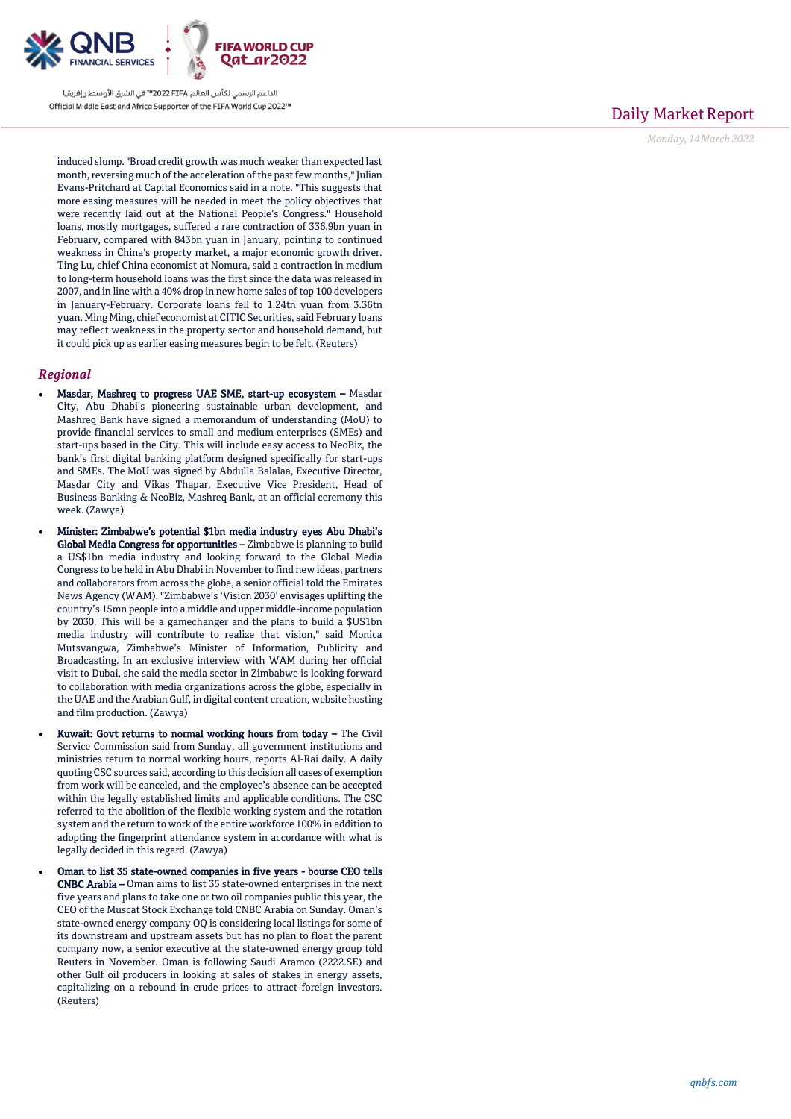

induced slump. "Broad credit growth was much weaker than expected last month, reversing much of the acceleration of the past few months," Julian Evans-Pritchard at Capital Economics said in a note. "This suggests that more easing measures will be needed in meet the policy objectives that were recently laid out at the National People's Congress." Household loans, mostly mortgages, suffered a rare contraction of 336.9bn yuan in February, compared with 843bn yuan in January, pointing to continued weakness in China's property market, a major economic growth driver. Ting Lu, chief China economist at Nomura, said a contraction in medium to long-term household loans was the first since the data was released in 2007, and in line with a 40% drop in new home sales of top 100 developers in January-February. Corporate loans fell to 1.24tn yuan from 3.36tn yuan. Ming Ming, chief economist at CITIC Securities, said February loans may reflect weakness in the property sector and household demand, but it could pick up as earlier easing measures begin to be felt. (Reuters)

### *Regional*

- Masdar, Mashreq to progress UAE SME, start-up ecosystem Masdar City, Abu Dhabi's pioneering sustainable urban development, and Mashreq Bank have signed a memorandum of understanding (MoU) to provide financial services to small and medium enterprises (SMEs) and start-ups based in the City. This will include easy access to NeoBiz, the bank's first digital banking platform designed specifically for start-ups and SMEs. The MoU was signed by Abdulla Balalaa, Executive Director, Masdar City and Vikas Thapar, Executive Vice President, Head of Business Banking & NeoBiz, Mashreq Bank, at an official ceremony this week. (Zawya)
- Minister: Zimbabwe's potential \$1bn media industry eyes Abu Dhabi's Global Media Congress for opportunities – Zimbabwe is planning to build a US\$1bn media industry and looking forward to the Global Media Congress to be held in Abu Dhabi in November to find new ideas, partners and collaborators from across the globe, a senior official told the Emirates News Agency (WAM). "Zimbabwe's 'Vision 2030' envisages uplifting the country's 15mn people into a middle and upper middle-income population by 2030. This will be a gamechanger and the plans to build a \$US1bn media industry will contribute to realize that vision," said Monica Mutsvangwa, Zimbabwe's Minister of Information, Publicity and Broadcasting. In an exclusive interview with WAM during her official visit to Dubai, she said the media sector in Zimbabwe is looking forward to collaboration with media organizations across the globe, especially in the UAE and the Arabian Gulf, in digital content creation, website hosting and film production. (Zawya)
- Kuwait: Govt returns to normal working hours from today The Civil Service Commission said from Sunday, all government institutions and ministries return to normal working hours, reports Al-Rai daily. A daily quoting CSC sources said, according to this decision all cases of exemption from work will be canceled, and the employee's absence can be accepted within the legally established limits and applicable conditions. The CSC referred to the abolition of the flexible working system and the rotation system and the return to work of the entire workforce 100% in addition to adopting the fingerprint attendance system in accordance with what is legally decided in this regard. (Zawya)
- Oman to list 35 state-owned companies in five years bourse CEO tells CNBC Arabia – Oman aims to list 35 state-owned enterprises in the next five years and plans to take one or two oil companies public this year, the CEO of the Muscat Stock Exchange told CNBC Arabia on Sunday. Oman's state-owned energy company OQ is considering local listings for some of its downstream and upstream assets but has no plan to float the parent company now, a senior executive at the state-owned energy group told Reuters in November. Oman is following Saudi Aramco (2222.SE) and other Gulf oil producers in looking at sales of stakes in energy assets, capitalizing on a rebound in crude prices to attract foreign investors. (Reuters)

## Daily Market Report

*Monday, 14March2022*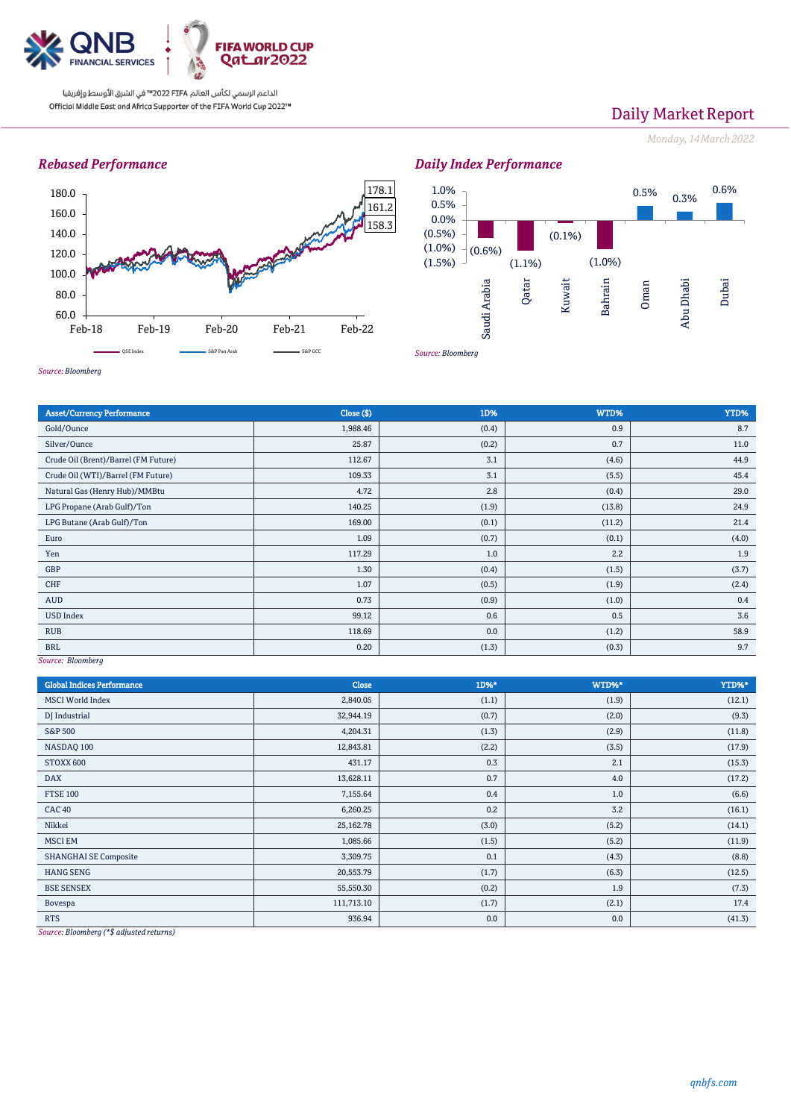

# Daily Market Report

*Monday, 14March2022*

## *Rebased Performance*



*Daily Index Performance* (0.6%)  $(1.1%)$ (0.1%) (1.0%) 0.5% 0.3% 0.6% (1.5%) (1.0%) (0.5%) 0.0% 0.5% 1.0% Saudi Arabia Qatar Kuwait Bahrain Oman Abu Dhabi Dubai

*Source: Bloomberg*

| <b>Asset/Currency Performance</b>    | Close ( \$) | 1D%   | WTD%   | YTD%  |
|--------------------------------------|-------------|-------|--------|-------|
| Gold/Ounce                           | 1,988.46    | (0.4) | 0.9    | 8.7   |
| Silver/Ounce                         | 25.87       | (0.2) | 0.7    | 11.0  |
| Crude Oil (Brent)/Barrel (FM Future) | 112.67      | 3.1   | (4.6)  | 44.9  |
| Crude Oil (WTI)/Barrel (FM Future)   | 109.33      | 3.1   | (5.5)  | 45.4  |
| Natural Gas (Henry Hub)/MMBtu        | 4.72        | 2.8   | (0.4)  | 29.0  |
| LPG Propane (Arab Gulf)/Ton          | 140.25      | (1.9) | (13.8) | 24.9  |
| LPG Butane (Arab Gulf)/Ton           | 169.00      | (0.1) | (11.2) | 21.4  |
| Euro                                 | 1.09        | (0.7) | (0.1)  | (4.0) |
| Yen                                  | 117.29      | 1.0   | 2.2    | 1.9   |
| GBP                                  | 1.30        | (0.4) | (1.5)  | (3.7) |
| CHF                                  | 1.07        | (0.5) | (1.9)  | (2.4) |
| <b>AUD</b>                           | 0.73        | (0.9) | (1.0)  | 0.4   |
| <b>USD Index</b>                     | 99.12       | 0.6   | 0.5    | 3.6   |
| <b>RUB</b>                           | 118.69      | 0.0   | (1.2)  | 58.9  |
| <b>BRL</b>                           | 0.20        | (1.3) | (0.3)  | 9.7   |

*Source: Bloomberg*

*Source: Bloomberg*

| <b>Global Indices Performance</b>                                                                                             | <b>Close</b> | 1D%*  | WTD%* | YTD%*  |
|-------------------------------------------------------------------------------------------------------------------------------|--------------|-------|-------|--------|
| <b>MSCI World Index</b>                                                                                                       | 2,840.05     | (1.1) | (1.9) | (12.1) |
| DJ Industrial                                                                                                                 | 32,944.19    | (0.7) | (2.0) | (9.3)  |
| <b>S&amp;P 500</b>                                                                                                            | 4,204.31     | (1.3) | (2.9) | (11.8) |
| NASDAQ 100                                                                                                                    | 12,843.81    | (2.2) | (3.5) | (17.9) |
| STOXX 600                                                                                                                     | 431.17       | 0.3   | 2.1   | (15.3) |
| <b>DAX</b>                                                                                                                    | 13,628.11    | 0.7   | 4.0   | (17.2) |
| <b>FTSE 100</b>                                                                                                               | 7,155.64     | 0.4   | 1.0   | (6.6)  |
| <b>CAC 40</b>                                                                                                                 | 6,260.25     | 0.2   | 3.2   | (16.1) |
| Nikkei                                                                                                                        | 25,162.78    | (3.0) | (5.2) | (14.1) |
| <b>MSCI EM</b>                                                                                                                | 1,085.66     | (1.5) | (5.2) | (11.9) |
| <b>SHANGHAI SE Composite</b>                                                                                                  | 3,309.75     | 0.1   | (4.3) | (8.8)  |
| <b>HANG SENG</b>                                                                                                              | 20,553.79    | (1.7) | (6.3) | (12.5) |
| <b>BSE SENSEX</b>                                                                                                             | 55,550.30    | (0.2) | 1.9   | (7.3)  |
| Bovespa                                                                                                                       | 111,713.10   | (1.7) | (2.1) | 17.4   |
| <b>RTS</b><br>the contract of the contract of the contract of the contract of the contract of the contract of the contract of | 936.94       | 0.0   | 0.0   | (41.3) |

*Source: Bloomberg (\*\$ adjusted returns)*